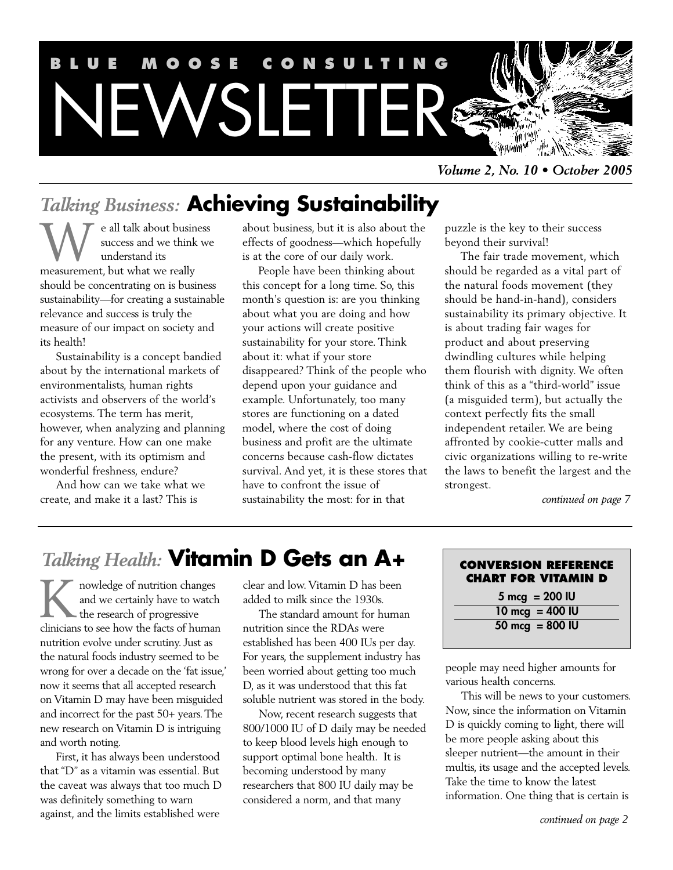

*Volume 2, No. 10 • October 2005*

# *Talking Business:* **Achieving Sustainability**

e all talk about business success and we think we understand its **W** e all talk about busin<br>success and we think<br>measurement, but what we really should be concentrating on is business sustainability—for creating a sustainable relevance and success is truly the measure of our impact on society and its health!

Sustainability is a concept bandied about by the international markets of environmentalists, human rights activists and observers of the world's ecosystems. The term has merit, however, when analyzing and planning for any venture. How can one make the present, with its optimism and wonderful freshness, endure?

And how can we take what we create, and make it a last? This is

about business, but it is also about the effects of goodness—which hopefully is at the core of our daily work.

People have been thinking about this concept for a long time. So, this month's question is: are you thinking about what you are doing and how your actions will create positive sustainability for your store. Think about it: what if your store disappeared? Think of the people who depend upon your guidance and example. Unfortunately, too many stores are functioning on a dated model, where the cost of doing business and profit are the ultimate concerns because cash-flow dictates survival. And yet, it is these stores that have to confront the issue of sustainability the most: for in that

puzzle is the key to their success beyond their survival!

The fair trade movement, which should be regarded as a vital part of the natural foods movement (they should be hand-in-hand), considers sustainability its primary objective. It is about trading fair wages for product and about preserving dwindling cultures while helping them flourish with dignity. We often think of this as a "third-world" issue (a misguided term), but actually the context perfectly fits the small independent retailer. We are being affronted by cookie-cutter malls and civic organizations willing to re-write the laws to benefit the largest and the strongest.

*continued on page 7*

# *Talking Health:* **Vitamin D Gets an A+**

nowledge of nutrition changes and we certainly have to watch the research of progressive I nowledge of nutrition changes<br>and we certainly have to watch<br>the research of progressive<br>clinicians to see how the facts of human nutrition evolve under scrutiny. Just as the natural foods industry seemed to be wrong for over a decade on the 'fat issue,' now it seems that all accepted research on Vitamin D may have been misguided and incorrect for the past 50+ years. The new research on Vitamin D is intriguing and worth noting.

First, it has always been understood that "D" as a vitamin was essential. But the caveat was always that too much D was definitely something to warn against, and the limits established were

clear and low. Vitamin D has been added to milk since the 1930s.

The standard amount for human nutrition since the RDAs were established has been 400 IUs per day. For years, the supplement industry has been worried about getting too much D, as it was understood that this fat soluble nutrient was stored in the body.

Now, recent research suggests that 800/1000 IU of D daily may be needed to keep blood levels high enough to support optimal bone health. It is becoming understood by many researchers that 800 IU daily may be considered a norm, and that many

| <b>CONVERSION REFERENCE</b><br><b>CHART FOR VITAMIN D</b> |
|-----------------------------------------------------------|
| $5 \text{ mcg} = 200 \text{ IU}$                          |
| $10 \text{ mcg} = 400 \text{ IU}$                         |
| $50 \text{ mcg} = 800 \text{ IU}$                         |

people may need higher amounts for various health concerns.

This will be news to your customers. Now, since the information on Vitamin D is quickly coming to light, there will be more people asking about this sleeper nutrient—the amount in their multis, its usage and the accepted levels. Take the time to know the latest information. One thing that is certain is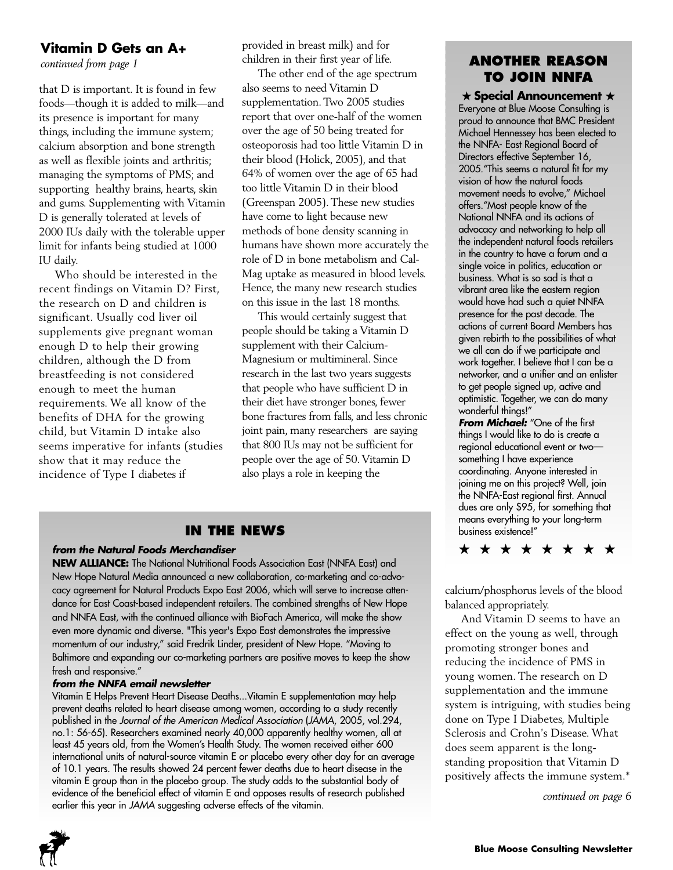## **Vitamin D Gets an A+**

*continued from page 1*

that D is important. It is found in few foods—though it is added to milk—and its presence is important for many things, including the immune system; calcium absorption and bone strength as well as flexible joints and arthritis; managing the symptoms of PMS; and supporting healthy brains, hearts, skin and gums. Supplementing with Vitamin D is generally tolerated at levels of 2000 IUs daily with the tolerable upper limit for infants being studied at 1000 IU daily.

Who should be interested in the recent findings on Vitamin D? First, the research on D and children is significant. Usually cod liver oil supplements give pregnant woman enough D to help their growing children, although the D from breastfeeding is not considered enough to meet the human requirements. We all know of the benefits of DHA for the growing child, but Vitamin D intake also seems imperative for infants (studies show that it may reduce the incidence of Type I diabetes if

provided in breast milk) and for children in their first year of life.

The other end of the age spectrum also seems to need Vitamin D supplementation. Two 2005 studies report that over one-half of the women over the age of 50 being treated for osteoporosis had too little Vitamin D in their blood (Holick, 2005), and that 64% of women over the age of 65 had too little Vitamin D in their blood (Greenspan 2005). These new studies have come to light because new methods of bone density scanning in humans have shown more accurately the role of D in bone metabolism and Cal-Mag uptake as measured in blood levels. Hence, the many new research studies on this issue in the last 18 months.

This would certainly suggest that people should be taking a Vitamin D supplement with their Calcium-Magnesium or multimineral. Since research in the last two years suggests that people who have sufficient D in their diet have stronger bones, fewer bone fractures from falls, and less chronic joint pain, many researchers are saying that 800 IUs may not be sufficient for people over the age of 50. Vitamin D also plays a role in keeping the

## **IN THE NEWS**

### *from the Natural Foods Merchandiser*

**NEW ALLIANCE:** The National Nutritional Foods Association East (NNFA East) and New Hope Natural Media announced a new collaboration, co-marketing and co-advocacy agreement for Natural Products Expo East 2006, which will serve to increase attendance for East Coast-based independent retailers. The combined strengths of New Hope and NNFA East, with the continued alliance with BioFach America, will make the show even more dynamic and diverse. "This year's Expo East demonstrates the impressive momentum of our industry," said Fredrik Linder, president of New Hope. "Moving to Baltimore and expanding our co-marketing partners are positive moves to keep the show fresh and responsive."

### *from the NNFA email newsletter*

Vitamin E Helps Prevent Heart Disease Deaths...Vitamin E supplementation may help prevent deaths related to heart disease among women, according to a study recently published in the *Journal of the American Medical Association* (*JAMA*, 2005, vol.294, no.1: 56-65). Researchers examined nearly 40,000 apparently healthy women, all at least 45 years old, from the Women's Health Study. The women received either 600 international units of natural-source vitamin E or placebo every other day for an average of 10.1 years. The results showed 24 percent fewer deaths due to heart disease in the vitamin E group than in the placebo group. The study adds to the substantial body of evidence of the beneficial effect of vitamin E and opposes results of research published earlier this year in *JAMA* suggesting adverse effects of the vitamin.



### **ANOTHER REASON TO JOIN NNFA**

 $\bigstar$  Special Announcement  $\bigstar$ Everyone at Blue Moose Consulting is proud to announce that BMC President Michael Hennessey has been elected to the NNFA- East Regional Board of Directors effective September 16, 2005."This seems a natural fit for my vision of how the natural foods movement needs to evolve," Michael offers."Most people know of the National NNFA and its actions of advocacy and networking to help all the independent natural foods retailers in the country to have a forum and a single voice in politics, education or business. What is so sad is that a vibrant area like the eastern region would have had such a quiet NNFA presence for the past decade. The actions of current Board Members has given rebirth to the possibilities of what we all can do if we participate and work together. I believe that I can be a networker, and a unifier and an enlister to get people signed up, active and optimistic. Together, we can do many wonderful things!"

*From Michael:* "One of the first things I would like to do is create a regional educational event or two something I have experience coordinating. Anyone interested in joining me on this project? Well, join the NNFA-East regional first. Annual dues are only \$95, for something that means everything to your long-term business existence!"



calcium/phosphorus levels of the blood balanced appropriately.

And Vitamin D seems to have an effect on the young as well, through promoting stronger bones and reducing the incidence of PMS in young women. The research on D supplementation and the immune system is intriguing, with studies being done on Type I Diabetes, Multiple Sclerosis and Crohn's Disease. What does seem apparent is the longstanding proposition that Vitamin D positively affects the immune system.\*

*continued on page 6*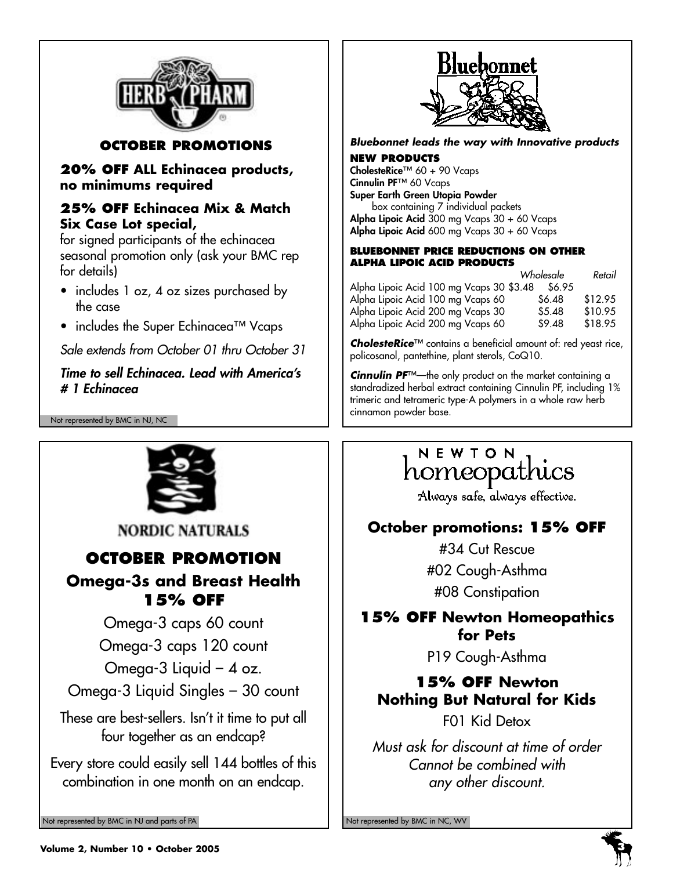

## **OCTOBER PROMOTIONS**

**20% OFF ALL Echinacea products, no minimums required**

## **25% OFF Echinacea Mix & Match Six Case Lot special,**

for signed participants of the echinacea seasonal promotion only (ask your BMC rep for details)

- includes 1 oz, 4 oz sizes purchased by the case
- includes the Super Echinacea™ Vcaps

*Sale extends from October 01 thru October 31*

## *Time to sell Echinacea. Lead with America's # 1 Echinacea*

Not represented by BMC in NJ, NC



**NORDIC NATURALS** 

# **OCTOBER PROMOTION**

## **Omega-3s and Breast Health 15% OFF**

Omega-3 caps 60 count

Omega-3 caps 120 count

Omega-3 Liquid – 4 oz.

Omega-3 Liquid Singles – 30 count

These are best-sellers. Isn't it time to put all four together as an endcap?

Every store could easily sell 144 bottles of this combination in one month on an endcap.

Not represented by BMC in NJ and parts of PA Not represented by BMC in NC, WV Not represented by BMC in NC, WV



*Bluebonnet leads the way with Innovative products*

### **NEW PRODUCTS**

**CholesteRice**™ 60 + 90 Vcaps **Cinnulin PF**™ 60 Vcaps **Super Earth Green Utopia Powder** box containing 7 individual packets **Alpha Lipoic Acid** 300 mg Vcaps 30 + 60 Vcaps **Alpha Lipoic Acid** 600 mg Vcaps 30 + 60 Vcaps

### **BLUEBONNET PRICE REDUCTIONS ON OTHER ALPHA LIPOIC ACID PRODUCTS**

|                                          | Wholesale | Retail  |
|------------------------------------------|-----------|---------|
| Alpha Lipoic Acid 100 mg Vcaps 30 \$3.48 | \$6.95    |         |
| Alpha Lipoic Acid 100 mg Vcaps 60        | \$6.48    | \$12.95 |
| Alpha Lipoic Acid 200 mg Vcaps 30        | \$5.48    | \$10.95 |
| Alpha Lipoic Acid 200 mg Vcaps 60        | \$9.48    | \$18.95 |

*CholesteRice*™ contains a beneficial amount of: red yeast rice, policosanol, pantethine, plant sterols, CoQ10.

*Cinnulin PF*™—the only product on the market containing a standradized herbal extract containing Cinnulin PF, including 1% trimeric and tetrameric type-A polymers in a whole raw herb cinnamon powder base.

# NEWTON homeopathics

Always safe, always effective.

## **October promotions: 15% OFF**

#34 Cut Rescue #02 Cough-Asthma #08 Constipation

## **15% OFF Newton Homeopathics for Pets**

P19 Cough-Asthma

# **15% OFF Newton Nothing But Natural for Kids**

F01 Kid Detox

*Must ask for discount at time of order Cannot be combined with any other discount.*



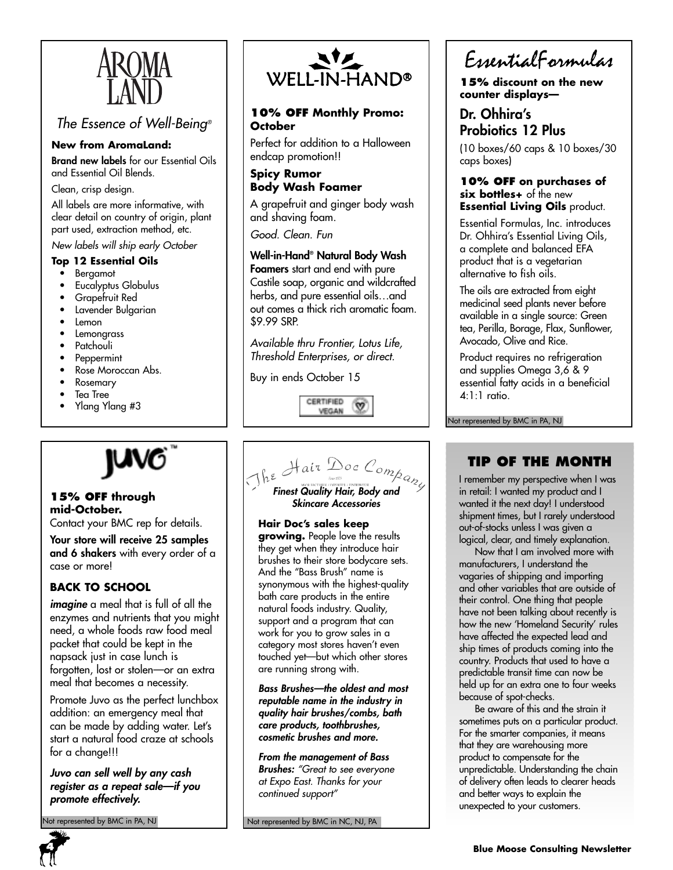

## *The Essence of Well-Being®*

### **New from AromaLand:**

**Brand new labels** for our Essential Oils and Essential Oil Blends.

Clean, crisp design.

All labels are more informative, with clear detail on country of origin, plant part used, extraction method, etc.

*New labels will ship early October* 

### **Top 12 Essential Oils**

- **Bergamot**
- Eucalyptus Globulus
- Grapefruit Red
- Lavender Bulgarian
- Lemon
- Lemongrass
- Patchouli
- Peppermint
- Rose Moroccan Abs.
- Rosemary
- Tea Tree
- Ylang Ylang #3



### **15% OFF through mid-October.**

Contact your BMC rep for details.

**Your store will receive 25 samples and 6 shakers** with every order of a case or more!

## **BACK TO SCHOOL**

*imagine* a meal that is full of all the enzymes and nutrients that you might need, a whole foods raw food meal packet that could be kept in the napsack just in case lunch is forgotten, lost or stolen—or an extra meal that becomes a necessity.

Promote Juvo as the perfect lunchbox addition: an emergency meal that can be made by adding water. Let's start a natural food craze at schools for a change!!!

*Juvo can sell well by any cash register as a repeat sale—if you promote effectively.*

t represented by BMC in PA, NJ



### **10% OFF Monthly Promo: October**

Perfect for addition to a Halloween endcap promotion!!

**Spicy Rumor Body Wash Foamer**

A grapefruit and ginger body wash and shaving foam.

*Good. Clean. Fun*

### **Well-in-Hand® Natural Body Wash**

**Foamers** start and end with pure Castile soap, organic and wildcrafted herbs, and pure essential oils…and out comes a thick rich aromatic foam. \$9.99 SRP.

*Available thru Frontier, Lotus Life, Threshold Enterprises, or direct.*

Buy in ends October 15





**Hair Doc's sales keep growing.** People love the results they get when they introduce hair

brushes to their store bodycare sets. And the "Bass Brush" name is synonymous with the highest-quality bath care products in the entire natural foods industry. Quality, support and a program that can work for you to grow sales in a category most stores haven't even touched yet—but which other stores are running strong with.

*Bass Brushes—the oldest and most reputable name in the industry in quality hair brushes/combs, bath care products, toothbrushes, cosmetic brushes and more.*

*From the management of Bass Brushes: "Great to see everyone at Expo East. Thanks for your continued support"*

Not represented by BMC in NC, NJ, PA

EssentialFormulas

**15% discount on the new counter displays—**

## **Dr. Ohhira's Probiotics 12 Plus**

(10 boxes/60 caps & 10 boxes/30 caps boxes)

### **10% OFF on purchases of six bottles+** of the new **Essential Living Oils** product.

Essential Formulas, Inc. introduces Dr. Ohhira's Essential Living Oils, a complete and balanced EFA product that is a vegetarian alternative to fish oils.

The oils are extracted from eight medicinal seed plants never before available in a single source: Green tea, Perilla, Borage, Flax, Sunflower, Avocado, Olive and Rice.

Product requires no refrigeration and supplies Omega 3,6 & 9 essential fatty acids in a beneficial 4:1:1 ratio.

Not represented by BMC in PA, NJ

## **TIP OF THE MONTH**

I remember my perspective when I was in retail: I wanted my product and I wanted it the next day! I understood shipment times, but I rarely understood out-of-stocks unless I was given a logical, clear, and timely explanation.

Now that I am involved more with manufacturers, I understand the vagaries of shipping and importing and other variables that are outside of their control. One thing that people have not been talking about recently is how the new 'Homeland Security' rules have affected the expected lead and ship times of products coming into the country. Products that used to have a predictable transit time can now be held up for an extra one to four weeks because of spot-checks.

Be aware of this and the strain it sometimes puts on a particular product. For the smarter companies, it means that they are warehousing more product to compensate for the unpredictable. Understanding the chain of delivery often leads to clearer heads and better ways to explain the unexpected to your customers.

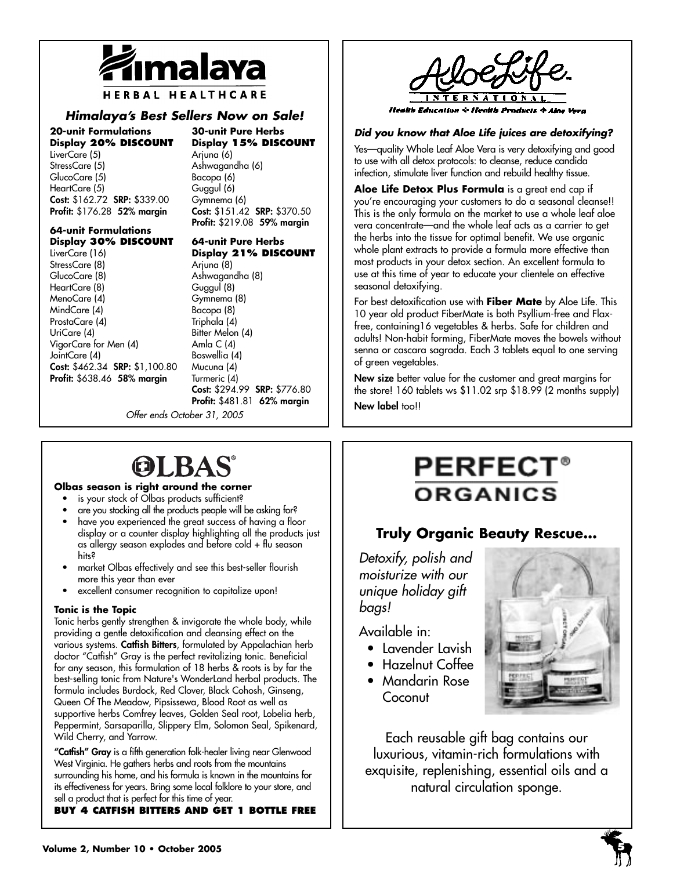

HERBAL HEALTHCARE

## *Himalaya's Best Sellers Now on Sale!*

**20-unit Formulations Display 20% DISCOUNT** LiverCare (5) StressCare (5) GlucoCare (5) HeartCare (5) **Cost:** \$162.72 **SRP:** \$339.00 **Profit:** \$176.28 **52% margin**

**30-unit Pure Herbs Display 15% DISCOUNT** Arjuna (6) Ashwagandha (6) Bacopa (6) Guggul (6) Gymnema (6) **Cost:** \$151.42 **SRP:** \$370.50 **Profit:** \$219.08 **59% margin**

### **64-unit Formulations Display 30% DISCOUNT**

LiverCare (16) StressCare (8) GlucoCare (8) HeartCare (8) MenoCare (4) MindCare (4) ProstaCare (4) UriCare (4) VigorCare for Men (4) JointCare (4) **Cost:** \$462.34 **SRP:** \$1,100.80 **Profit:** \$638.46 **58% margin**

**64-unit Pure Herbs Display 21% DISCOUNT**

Arjuna (8) Ashwagandha (8) Guggul (8) Gymnema (8) Bacopa (8) Triphala (4) Bitter Melon (4) Amla C (4) Boswellia (4) Mucuna (4) Turmeric (4) **Cost:** \$294.99 **SRP:** \$776.80 **Profit:** \$481.81 **62% margin**

*Offer ends October 31, 2005*

# OLBAS

### **Olbas season is right around the corner**

- is your stock of Olbas products sufficient?
- are you stocking all the products people will be asking for?
- have you experienced the great success of having a floor display or a counter display highlighting all the products just as allergy season explodes and before cold + flu season hits?
- market Olbas effectively and see this best-seller flourish more this year than ever
- excellent consumer recognition to capitalize upon!

#### **Tonic is the Topic**

Tonic herbs gently strengthen & invigorate the whole body, while providing a gentle detoxification and cleansing effect on the various systems. **Catfish Bitters**, formulated by Appalachian herb doctor "Catfish" Gray is the perfect revitalizing tonic. Beneficial for any season, this formulation of 18 herbs & roots is by far the best-selling tonic from Nature's WonderLand herbal products. The formula includes Burdock, Red Clover, Black Cohosh, Ginseng, Queen Of The Meadow, Pipsissewa, Blood Root as well as supportive herbs Comfrey leaves, Golden Seal root, Lobelia herb, Peppermint, Sarsaparilla, Slippery Elm, Solomon Seal, Spikenard, Wild Cherry, and Yarrow.

**"Catfish" Gray** is a fifth generation folk-healer living near Glenwood West Virginia. He gathers herbs and roots from the mountains surrounding his home, and his formula is known in the mountains for its effectiveness for years. Bring some local folklore to your store, and sell a product that is perfect for this time of year.

**BUY 4 CATFISH BITTERS AND GET 1 BOTTLE FREE**



### *Did you know that Aloe Life juices are detoxifying?*

Yes—quality Whole Leaf Aloe Vera is very detoxifying and good to use with all detox protocols: to cleanse, reduce candida infection, stimulate liver function and rebuild healthy tissue.

**Aloe Life Detox Plus Formula** is a great end cap if you're encouraging your customers to do a seasonal cleanse!! This is the only formula on the market to use a whole leaf aloe vera concentrate—and the whole leaf acts as a carrier to get the herbs into the tissue for optimal benefit. We use organic whole plant extracts to provide a formula more effective than most products in your detox section. An excellent formula to use at this time of year to educate your clientele on effective seasonal detoxifying.

For best detoxification use with **Fiber Mate** by Aloe Life. This 10 year old product FiberMate is both Psyllium-free and Flaxfree, containing16 vegetables & herbs. Safe for children and adults! Non-habit forming, FiberMate moves the bowels without senna or cascara sagrada. Each 3 tablets equal to one serving of green vegetables.

**New size** better value for the customer and great margins for the store! 160 tablets ws \$11.02 srp \$18.99 (2 months supply)

**New label** too!!

# **PERFECT** ORGANICS

## **Truly Organic Beauty Rescue…**

*Detoxify, polish and moisturize with our unique holiday gift bags!*

Available in:

- Lavender Lavish
- Hazelnut Coffee
- Mandarin Rose Coconut



Each reusable gift bag contains our luxurious, vitamin-rich formulations with exquisite, replenishing, essential oils and a natural circulation sponge.

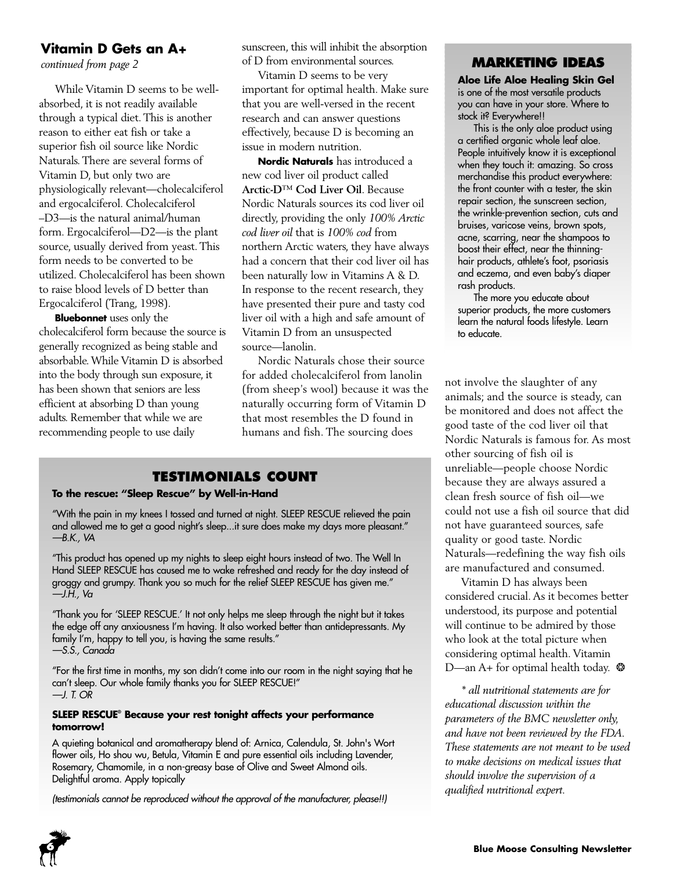## **Vitamin D Gets an A+**

*continued from page 2*

While Vitamin D seems to be wellabsorbed, it is not readily available through a typical diet. This is another reason to either eat fish or take a superior fish oil source like Nordic Naturals. There are several forms of Vitamin D, but only two are physiologically relevant—cholecalciferol and ergocalciferol. Cholecalciferol –D3—is the natural animal/human form. Ergocalciferol—D2—is the plant source, usually derived from yeast. This form needs to be converted to be utilized. Cholecalciferol has been shown to raise blood levels of D better than Ergocalciferol (Trang, 1998).

**Bluebonnet** uses only the cholecalciferol form because the source is generally recognized as being stable and absorbable. While Vitamin D is absorbed into the body through sun exposure, it has been shown that seniors are less efficient at absorbing D than young adults. Remember that while we are recommending people to use daily

sunscreen, this will inhibit the absorption of D from environmental sources.

Vitamin D seems to be very important for optimal health. Make sure that you are well-versed in the recent research and can answer questions effectively, because D is becoming an issue in modern nutrition.

**Nordic Naturals** has introduced a new cod liver oil product called **Arctic-D**™ **Cod Liver Oil**. Because Nordic Naturals sources its cod liver oil directly, providing the only *100% Arctic cod liver oil* that is *100% cod* from northern Arctic waters, they have always had a concern that their cod liver oil has been naturally low in Vitamins A & D. In response to the recent research, they have presented their pure and tasty cod liver oil with a high and safe amount of Vitamin D from an unsuspected source—lanolin.

Nordic Naturals chose their source for added cholecalciferol from lanolin (from sheep's wool) because it was the naturally occurring form of Vitamin D that most resembles the D found in humans and fish. The sourcing does

## **TESTIMONIALS COUNT**

### **To the rescue: "Sleep Rescue" by Well-in-Hand**

"With the pain in my knees I tossed and turned at night. SLEEP RESCUE relieved the pain and allowed me to get a good night's sleep...it sure does make my days more pleasant." *—B.K., VA*

"This product has opened up my nights to sleep eight hours instead of two. The Well In Hand SLEEP RESCUE has caused me to wake refreshed and ready for the day instead of groggy and grumpy. Thank you so much for the relief SLEEP RESCUE has given me." *—J.H., Va*

"Thank you for 'SLEEP RESCUE.' It not only helps me sleep through the night but it takes the edge off any anxiousness I'm having. It also worked better than antidepressants. My family I'm, happy to tell you, is having the same results." *—S.S., Canada*

"For the first time in months, my son didn't come into our room in the night saying that he can't sleep. Our whole family thanks you for SLEEP RESCUE!" *—J. T. OR*

### **SLEEP RESCUE® Because your rest tonight affects your performance tomorrow!**

A quieting botanical and aromatherapy blend of: Arnica, Calendula, St. John's Wort flower oils, Ho shou wu, Betula, Vitamin E and pure essential oils including Lavender, Rosemary, Chamomile, in a non-greasy base of Olive and Sweet Almond oils. Delightful aroma. Apply topically

*(testimonials cannot be reproduced without the approval of the manufacturer, please!!)*

### **MARKETING IDEAS**

**Aloe Life Aloe Healing Skin Gel** is one of the most versatile products you can have in your store. Where to stock it? Everywhere!!

This is the only aloe product using a certified organic whole leaf aloe. People intuitively know it is exceptional when they touch it: amazing. So cross merchandise this product everywhere: the front counter with a tester, the skin repair section, the sunscreen section, the wrinkle-prevention section, cuts and bruises, varicose veins, brown spots, acne, scarring, near the shampoos to boost their effect, near the thinninghair products, athlete's foot, psoriasis and eczema, and even baby's diaper rash products.

The more you educate about superior products, the more customers learn the natural foods lifestyle. Learn to educate.

not involve the slaughter of any animals; and the source is steady, can be monitored and does not affect the good taste of the cod liver oil that Nordic Naturals is famous for. As most other sourcing of fish oil is unreliable—people choose Nordic because they are always assured a clean fresh source of fish oil—we could not use a fish oil source that did not have guaranteed sources, safe quality or good taste. Nordic Naturals—redefining the way fish oils are manufactured and consumed.

Vitamin D has always been considered crucial. As it becomes better understood, its purpose and potential will continue to be admired by those who look at the total picture when considering optimal health. Vitamin D—an A+ for optimal health today.  $*$ 

*\* all nutritional statements are for educational discussion within the parameters of the BMC newsletter only, and have not been reviewed by the FDA. These statements are not meant to be used to make decisions on medical issues that should involve the supervision of a qualified nutritional expert.*

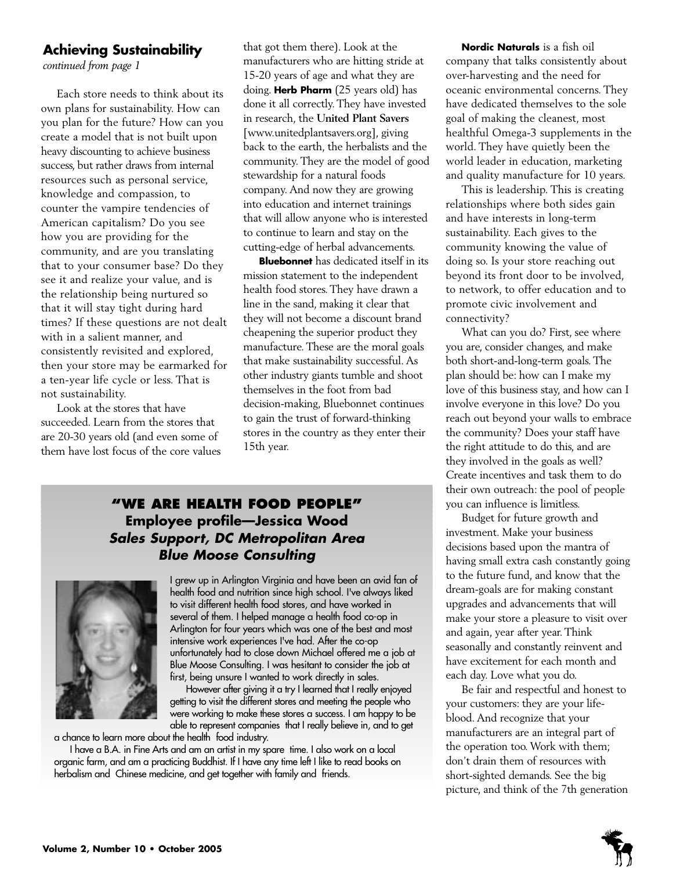## **Achieving Sustainability**

*continued from page 1*

Each store needs to think about its own plans for sustainability. How can you plan for the future? How can you create a model that is not built upon heavy discounting to achieve business success, but rather draws from internal resources such as personal service, knowledge and compassion, to counter the vampire tendencies of American capitalism? Do you see how you are providing for the community, and are you translating that to your consumer base? Do they see it and realize your value, and is the relationship being nurtured so that it will stay tight during hard times? If these questions are not dealt with in a salient manner, and consistently revisited and explored, then your store may be earmarked for a ten-year life cycle or less. That is not sustainability.

Look at the stores that have succeeded. Learn from the stores that are 20-30 years old (and even some of them have lost focus of the core values that got them there). Look at the manufacturers who are hitting stride at 15-20 years of age and what they are doing. **Herb Pharm** (25 years old) has done it all correctly. They have invested in research, the **United Plant Savers** [www.unitedplantsavers.org], giving back to the earth, the herbalists and the community. They are the model of good stewardship for a natural foods company. And now they are growing into education and internet trainings that will allow anyone who is interested to continue to learn and stay on the cutting-edge of herbal advancements.

**Bluebonnet** has dedicated itself in its mission statement to the independent health food stores. They have drawn a line in the sand, making it clear that they will not become a discount brand cheapening the superior product they manufacture. These are the moral goals that make sustainability successful. As other industry giants tumble and shoot themselves in the foot from bad decision-making, Bluebonnet continues to gain the trust of forward-thinking stores in the country as they enter their 15th year.

## **"WE ARE HEALTH FOOD PEOPLE" Employee profile—Jessica Wood** *Sales Support, DC Metropolitan Area Blue Moose Consulting*



I grew up in Arlington Virginia and have been an avid fan of health food and nutrition since high school. I've always liked to visit different health food stores, and have worked in several of them. I helped manage a health food co-op in Arlington for four years which was one of the best and most intensive work experiences I've had. After the co-op unfortunately had to close down Michael offered me a job at Blue Moose Consulting. I was hesitant to consider the job at first, being unsure I wanted to work directly in sales.

However after giving it a try I learned that I really enjoyed getting to visit the different stores and meeting the people who were working to make these stores a success. I am happy to be able to represent companies that I really believe in, and to get

a chance to learn more about the health food industry.

I have a B.A. in Fine Arts and am an artist in my spare time. I also work on a local organic farm, and am a practicing Buddhist. If I have any time left I like to read books on herbalism and Chinese medicine, and get together with family and friends.

**Nordic Naturals** is a fish oil company that talks consistently about over-harvesting and the need for oceanic environmental concerns. They have dedicated themselves to the sole goal of making the cleanest, most healthful Omega-3 supplements in the world. They have quietly been the world leader in education, marketing and quality manufacture for 10 years.

This is leadership. This is creating relationships where both sides gain and have interests in long-term sustainability. Each gives to the community knowing the value of doing so. Is your store reaching out beyond its front door to be involved, to network, to offer education and to promote civic involvement and connectivity?

What can you do? First, see where you are, consider changes, and make both short-and-long-term goals. The plan should be: how can I make my love of this business stay, and how can I involve everyone in this love? Do you reach out beyond your walls to embrace the community? Does your staff have the right attitude to do this, and are they involved in the goals as well? Create incentives and task them to do their own outreach: the pool of people you can influence is limitless.

Budget for future growth and investment. Make your business decisions based upon the mantra of having small extra cash constantly going to the future fund, and know that the dream-goals are for making constant upgrades and advancements that will make your store a pleasure to visit over and again, year after year. Think seasonally and constantly reinvent and have excitement for each month and each day. Love what you do.

Be fair and respectful and honest to your customers: they are your lifeblood. And recognize that your manufacturers are an integral part of the operation too. Work with them; don't drain them of resources with short-sighted demands. See the big picture, and think of the 7th generation